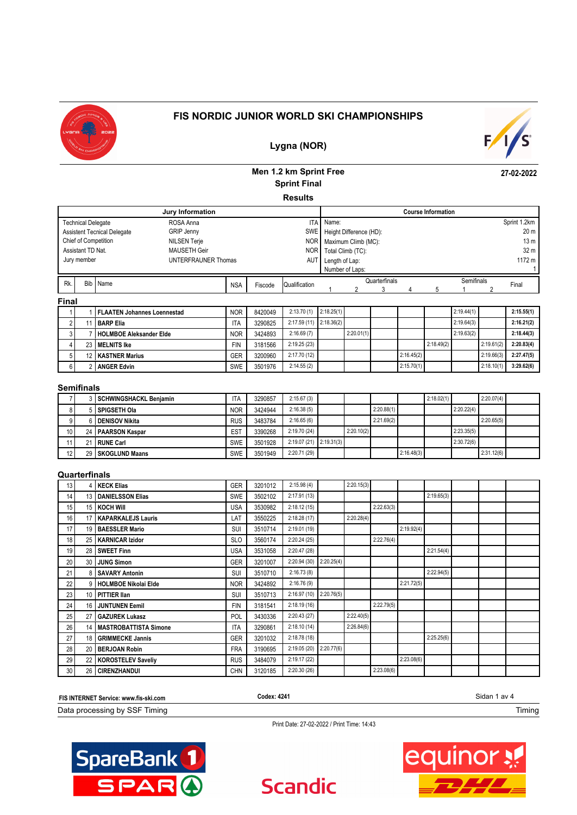



**27-02-2022**

### **Lygna (NOR)**

# **Men 1.2 km Sprint Free Sprint Final**

**Results**

| Jury Information                                        |            |         |               | <b>Course Information</b> |                             |               |  |  |            |  |                 |
|---------------------------------------------------------|------------|---------|---------------|---------------------------|-----------------------------|---------------|--|--|------------|--|-----------------|
| ROSA Anna<br><b>Technical Delegate</b>                  |            |         |               | <b>ITA</b> Name:          |                             |               |  |  |            |  | Sprint 1.2km    |
| <b>GRIP Jenny</b><br><b>Assistent Tecnical Delegate</b> |            |         |               |                           | SWE Height Difference (HD): |               |  |  |            |  | 20 m            |
| Chief of Competition<br><b>NILSEN Terje</b>             |            |         |               |                           | NOR   Maximum Climb (MC):   |               |  |  |            |  | 13 <sub>m</sub> |
| Assistant TD Nat.<br>MAUSETH Geir                       |            |         |               |                           | NOR   Total Climb (TC):     |               |  |  |            |  | 32 m            |
| Jury member<br>UNTERFRAUNER Thomas                      |            |         | AUT           | Length of Lap:            |                             |               |  |  |            |  | 1172 m          |
|                                                         |            |         |               |                           | Number of Laps:             |               |  |  |            |  |                 |
| Rk.<br>Bib Name                                         | <b>NSA</b> | Fiscode | Qualification |                           |                             | Quarterfinals |  |  | Semifinals |  | Final           |
|                                                         |            |         |               |                           |                             |               |  |  |            |  |                 |
| <b>Final</b>                                            |            |         |               |                           |                             |               |  |  |            |  |                 |

|     | <b>I FLAATEN Johannes Loennestad</b> | <b>NOR</b> | 8420049 | 2:13.70(1)  | 2:18.25(1) |            |            |            | 2:19.44(1) |            | 2:15.55(1) |
|-----|--------------------------------------|------------|---------|-------------|------------|------------|------------|------------|------------|------------|------------|
|     | <b>BARP Elia</b>                     | ۱TA        | 3290825 | 2:17.59(11) | 2:18.36(2) |            |            |            | 2:19.64(3) |            | 2:16.21(2) |
|     | <b>HOLMBOE Aleksander Elde</b>       | <b>NOR</b> | 3424893 | 2:16.69(7)  |            | 2:20.01(1) |            |            | 2:19.63(2) |            | 2:18.44(3) |
|     | 23 MELNITS Ike                       | <b>FIN</b> | 3181566 | 2:19.25(23) |            |            |            | 2:18.49(2) |            | 2:19.61(2) | 2:20.83(4) |
|     | 12 KASTNER Marius                    | <b>GER</b> | 3200960 | 2:17.70(12) |            |            | 2:16.45(2) |            |            | 2:19.66(3) | 2:27.47(5) |
| 6 I | <b>ANGER Edvin</b>                   | <b>SWE</b> | 3501976 | 2:14.55(2)  |            |            | 2:15.70(1) |            |            | 2:18.10(1) | 3:29.62(6) |

#### **Semifinals**

|                 | 3 SCHWINGSHACKL Benjamin | ۱TA             | 3290857 | 2:15.67(3)                 |            |            |            | 2:18.02(1) |            | 2:20.07(4) |  |
|-----------------|--------------------------|-----------------|---------|----------------------------|------------|------------|------------|------------|------------|------------|--|
|                 | i I SPIGSETH OIa         | <b>NOR</b>      | 3424944 | 2:16.38(5)                 |            | 2:20.88(1) |            |            | 2:20.22(4) |            |  |
|                 | I DENISOV Nikita         | <b>RUS</b>      | 3483784 | 2:16.65(6)                 |            | 2:21.69(2) |            |            |            | 2:20.65(5) |  |
| 10 <sup>1</sup> | 24   PAARSON Kaspar      | ES <sub>T</sub> | 3390268 | 2:19.70(24)                | 2:20.10(2) |            |            |            | 2:23.35(5) |            |  |
|                 | 21 RUNE Carl             | <b>SWE</b>      | 3501928 | $2:19.07(21)$ $2:19.31(3)$ |            |            |            |            | 2:30.72(6) |            |  |
| 12              | 29 SKOGLUND Maans        | <b>SWE</b>      | 3501949 | 2:20.71(29)                |            |            | 2:16.48(3) |            |            | 2:31.12(6) |  |

### **Quarterfinals**

| 13 | 4   KECK Elias             | <b>GER</b> | 3201012 | 2:15.98(4)   |            | 2:20.15(3) |            |            |            |  |  |
|----|----------------------------|------------|---------|--------------|------------|------------|------------|------------|------------|--|--|
| 14 | 13   DANIELSSON Elias      | SWE        | 3502102 | 2:17.91(13)  |            |            |            |            | 2:19.65(3) |  |  |
| 15 | 15 KOCH Will               | <b>USA</b> | 3530982 | 2:18.12(15)  |            |            | 2:22.63(3) |            |            |  |  |
| 16 | 17   KAPARKALEJS Lauris    | LAT        | 3550225 | 2:18.28(17)  |            | 2:20.28(4) |            |            |            |  |  |
| 17 | 19   BAESSLER Mario        | SUI        | 3510714 | 2:19.01(19)  |            |            |            | 2:19.92(4) |            |  |  |
| 18 | 25   KARNICAR Izidor       | <b>SLO</b> | 3560174 | 2:20.24(25)  |            |            | 2:22.76(4) |            |            |  |  |
| 19 | 28 SWEET Finn              | <b>USA</b> | 3531058 | 2:20.47 (28) |            |            |            |            | 2:21.54(4) |  |  |
| 20 | 30 JUNG Simon              | GER        | 3201007 | 2:20.94 (30) | 2:20.25(4) |            |            |            |            |  |  |
| 21 | 8 SAVARY Antonin           | SUI        | 3510710 | 2:16.73(8)   |            |            |            |            | 2:22.94(5) |  |  |
| 22 | 9   HOLMBOE Nikolai Elde   | <b>NOR</b> | 3424892 | 2:16.76(9)   |            |            |            | 2:21.72(5) |            |  |  |
| 23 | 10 PITTIER Ilan            | SUI        | 3510713 | 2:16.97 (10) | 2:20.76(5) |            |            |            |            |  |  |
| 24 | 16 JUNTUNEN Eemil          | <b>FIN</b> | 3181541 | 2:18.19(16)  |            |            | 2:22.79(5) |            |            |  |  |
| 25 | 27 GAZUREK Lukasz          | POL        | 3430336 | 2:20.43(27)  |            | 2:22.40(5) |            |            |            |  |  |
| 26 | 14   MASTROBATTISTA Simone | <b>ITA</b> | 3290861 | 2:18.10(14)  |            | 2:26.84(6) |            |            |            |  |  |
| 27 | 18 GRIMMECKE Jannis        | GER        | 3201032 | 2:18.78(18)  |            |            |            |            | 2:25.25(6) |  |  |
| 28 | 20 BERJOAN Robin           | <b>FRA</b> | 3190695 | 2:19.05 (20) | 2:20.77(6) |            |            |            |            |  |  |
| 29 | 22   KOROSTELEV Saveliy    | <b>RUS</b> | 3484079 | 2:19.17(22)  |            |            |            | 2:23.08(6) |            |  |  |
| 30 | 26   CIRENZHANDUI          | <b>CHN</b> | 3120185 | 2:20.30(26)  |            |            | 2:23.08(6) |            |            |  |  |

| FIS INTERNET Service: www.fis-ski.com | Codex: 4241 | Sidan 1<br>av 4 |
|---------------------------------------|-------------|-----------------|
| Data processing by SSF<br>Timina      |             | . iming         |







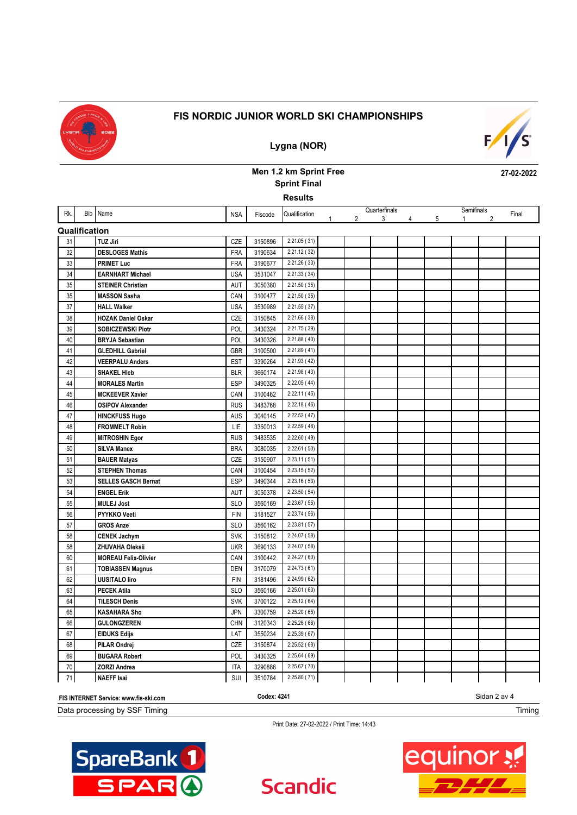

**Lygna (NOR)**

# $F/I/S^2$

**27-02-2022**

## **Men 1.2 km Sprint Free Sprint Final**

**Results**

| Rk.           | Bib Name                    | <b>NSA</b> | Fiscode | Qualification |   |                | Quarterfinals |   |   | Semifinals   | Final |
|---------------|-----------------------------|------------|---------|---------------|---|----------------|---------------|---|---|--------------|-------|
|               |                             |            |         |               | 1 | $\overline{2}$ | 3             | 4 | 5 | $\mathbf{1}$ |       |
| Qualification |                             |            |         |               |   |                |               |   |   |              |       |
| 31            | <b>TUZ Jiri</b>             | CZE        | 3150896 | 2:21.05(31)   |   |                |               |   |   |              |       |
| 32            | <b>DESLOGES Mathis</b>      | <b>FRA</b> | 3190634 | 2:21.12 (32)  |   |                |               |   |   |              |       |
| 33            | <b>PRIMET Luc</b>           | <b>FRA</b> | 3190677 | 2:21.26(33)   |   |                |               |   |   |              |       |
| 34            | <b>EARNHART Michael</b>     | <b>USA</b> | 3531047 | 2:21.33(34)   |   |                |               |   |   |              |       |
| 35            | <b>STEINER Christian</b>    | AUT        | 3050380 | 2:21.50(35)   |   |                |               |   |   |              |       |
| 35            | <b>MASSON Sasha</b>         | CAN        | 3100477 | 2:21.50(35)   |   |                |               |   |   |              |       |
| 37            | <b>HALL Walker</b>          | <b>USA</b> | 3530989 | 2:21.55 (37)  |   |                |               |   |   |              |       |
| 38            | <b>HOZAK Daniel Oskar</b>   | CZE        | 3150845 | 2:21.66 (38)  |   |                |               |   |   |              |       |
| 39            | <b>SOBICZEWSKI Piotr</b>    | POL        | 3430324 | 2:21.75 (39)  |   |                |               |   |   |              |       |
| 40            | <b>BRYJA Sebastian</b>      | POL        | 3430326 | 2:21.88(40)   |   |                |               |   |   |              |       |
| 41            | <b>GLEDHILL Gabriel</b>     | <b>GBR</b> | 3100500 | 2:21.89(41)   |   |                |               |   |   |              |       |
| 42            | <b>VEERPALU Anders</b>      | <b>EST</b> | 3390264 | 2:21.93 (42)  |   |                |               |   |   |              |       |
| 43            | <b>SHAKEL HIeb</b>          | <b>BLR</b> | 3660174 | 2:21.98 (43)  |   |                |               |   |   |              |       |
| 44            | <b>MORALES Martin</b>       | <b>ESP</b> | 3490325 | 2:22.05(44)   |   |                |               |   |   |              |       |
| 45            | <b>MCKEEVER Xavier</b>      | CAN        | 3100462 | 2:22.11 (45)  |   |                |               |   |   |              |       |
| 46            | <b>OSIPOV Alexander</b>     | <b>RUS</b> | 3483768 | 2:22.18(46)   |   |                |               |   |   |              |       |
| 47            | <b>HINCKFUSS Hugo</b>       | <b>AUS</b> | 3040145 | 2:22.52(47)   |   |                |               |   |   |              |       |
| 48            | <b>FROMMELT Robin</b>       | LIE        | 3350013 | 2:22.59(48)   |   |                |               |   |   |              |       |
| 49            | <b>MITROSHIN Egor</b>       | <b>RUS</b> | 3483535 | 2:22.60(49)   |   |                |               |   |   |              |       |
| 50            | <b>SILVA Manex</b>          | <b>BRA</b> | 3080035 | 2:22.61 (50)  |   |                |               |   |   |              |       |
| 51            | <b>BAUER Matyas</b>         | CZE        | 3150907 | 2:23.11(51)   |   |                |               |   |   |              |       |
| 52            | <b>STEPHEN Thomas</b>       | CAN        | 3100454 | 2:23.15(52)   |   |                |               |   |   |              |       |
| 53            | <b>SELLES GASCH Bernat</b>  | ESP        | 3490344 | 2:23.16(53)   |   |                |               |   |   |              |       |
| 54            | <b>ENGEL Erik</b>           | AUT        | 3050378 | 2:23.50(54)   |   |                |               |   |   |              |       |
| 55            | <b>MULEJ Jost</b>           | <b>SLO</b> | 3560169 | 2:23.67 (55)  |   |                |               |   |   |              |       |
| 56            | PYYKKO Veeti                | <b>FIN</b> | 3181527 | 2:23.74 (56)  |   |                |               |   |   |              |       |
| 57            | <b>GROS Anze</b>            | <b>SLO</b> | 3560162 | 2:23.81 (57)  |   |                |               |   |   |              |       |
| 58            | <b>CENEK Jachym</b>         | <b>SVK</b> | 3150812 | 2:24.07 (58)  |   |                |               |   |   |              |       |
| 58            | <b>ZHUVAHA Oleksii</b>      | <b>UKR</b> | 3690133 | 2:24.07 (58)  |   |                |               |   |   |              |       |
| 60            | <b>MOREAU Felix-Olivier</b> | CAN        | 3100442 | 2:24.27 (60)  |   |                |               |   |   |              |       |
| 61            | <b>TOBIASSEN Magnus</b>     | <b>DEN</b> | 3170079 | 2:24.73(61)   |   |                |               |   |   |              |       |
| 62            | <b>UUSITALO liro</b>        | <b>FIN</b> | 3181496 | 2:24.99 (62)  |   |                |               |   |   |              |       |
| 63            | <b>PECEK Atila</b>          | <b>SLO</b> | 3560166 | 2:25.01(63)   |   |                |               |   |   |              |       |
| 64            | <b>TILESCH Denis</b>        | <b>SVK</b> | 3700122 | 2:25.12(64)   |   |                |               |   |   |              |       |
| 65            | <b>KASAHARA Sho</b>         | <b>JPN</b> | 3300759 | 2:25.20(65)   |   |                |               |   |   |              |       |
| 66            | <b>GULONGZEREN</b>          | <b>CHN</b> | 3120343 | 2:25.26(66)   |   |                |               |   |   |              |       |
| 67            | <b>EIDUKS Edijs</b>         | LAT        | 3550234 | 2:25.39(67)   |   |                |               |   |   |              |       |
| 68            | <b>PILAR Ondrej</b>         | CZE        | 3150874 | 2:25.52(68)   |   |                |               |   |   |              |       |
| 69            | <b>BUGARA Robert</b>        | POL        | 3430325 | 2:25.64(69)   |   |                |               |   |   |              |       |
| 70            | <b>ZORZI Andrea</b>         | <b>ITA</b> | 3290886 | 2:25.67 (70)  |   |                |               |   |   |              |       |
| 71            | <b>NAEFF Isai</b>           | <b>SUI</b> | 3510784 | 2:25.80(71)   |   |                |               |   |   |              |       |
|               |                             |            |         |               |   |                |               |   |   |              |       |



Print Date: 27-02-2022 / Print Time: 14:43



Timing



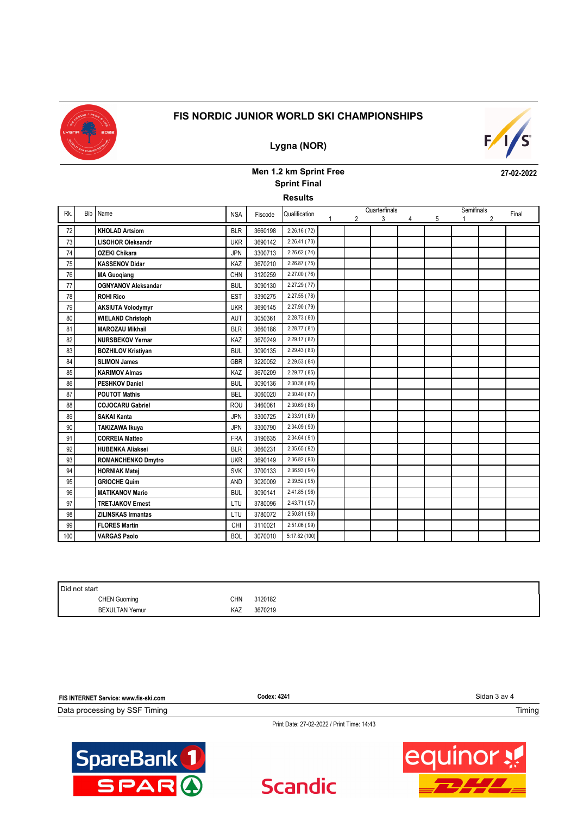

### **Lygna (NOR)**



**27-02-2022**

### **Men 1.2 km Sprint Free Results Sprint Final**

| Rk. | Bib I | Name                       | <b>NSA</b> | Fiscode | Qualification |   | Quarterfinals |   |   | Semifinals | Final |
|-----|-------|----------------------------|------------|---------|---------------|---|---------------|---|---|------------|-------|
|     |       |                            |            |         |               | 2 | 3             | 4 | 5 |            |       |
| 72  |       | <b>KHOLAD Artsiom</b>      | <b>BLR</b> | 3660198 | 2:26.16(72)   |   |               |   |   |            |       |
| 73  |       | <b>LISOHOR Oleksandr</b>   | <b>UKR</b> | 3690142 | 2:26.41(73)   |   |               |   |   |            |       |
| 74  |       | <b>OZEKI Chikara</b>       | <b>JPN</b> | 3300713 | 2:26.62(74)   |   |               |   |   |            |       |
| 75  |       | <b>KASSENOV Didar</b>      | KAZ        | 3670210 | 2:26.87(75)   |   |               |   |   |            |       |
| 76  |       | <b>MA Guogiang</b>         | <b>CHN</b> | 3120259 | 2:27.00(76)   |   |               |   |   |            |       |
| 77  |       | <b>OGNYANOV Aleksandar</b> | <b>BUL</b> | 3090130 | 2:27.29 (77)  |   |               |   |   |            |       |
| 78  |       | <b>ROHI Rico</b>           | <b>EST</b> | 3390275 | 2:27.55 (78)  |   |               |   |   |            |       |
| 79  |       | <b>AKSIUTA Volodymyr</b>   | <b>UKR</b> | 3690145 | 2:27.90 (79)  |   |               |   |   |            |       |
| 80  |       | <b>WIELAND Christoph</b>   | AUT        | 3050361 | 2:28.73 (80)  |   |               |   |   |            |       |
| 81  |       | <b>MAROZAU Mikhail</b>     | <b>BLR</b> | 3660186 | 2:28.77(81)   |   |               |   |   |            |       |
| 82  |       | <b>NURSBEKOV Yernar</b>    | KAZ        | 3670249 | 2:29.17 (82)  |   |               |   |   |            |       |
| 83  |       | <b>BOZHILOV Kristiyan</b>  | <b>BUL</b> | 3090135 | 2:29.43(83)   |   |               |   |   |            |       |
| 84  |       | <b>SLIMON James</b>        | <b>GBR</b> | 3220052 | 2:29.53(84)   |   |               |   |   |            |       |
| 85  |       | <b>KARIMOV Almas</b>       | KAZ        | 3670209 | 2:29.77 (85)  |   |               |   |   |            |       |
| 86  |       | <b>PESHKOV Daniel</b>      | <b>BUL</b> | 3090136 | 2:30.36(86)   |   |               |   |   |            |       |
| 87  |       | <b>POUTOT Mathis</b>       | <b>BEL</b> | 3060020 | 2:30.40(87)   |   |               |   |   |            |       |
| 88  |       | <b>COJOCARU Gabriel</b>    | <b>ROU</b> | 3460061 | 2:30.69(88)   |   |               |   |   |            |       |
| 89  |       | <b>SAKAI Kanta</b>         | <b>JPN</b> | 3300725 | 2:33.91 (89)  |   |               |   |   |            |       |
| 90  |       | TAKIZAWA Ikuya             | <b>JPN</b> | 3300790 | 2:34.09 (90)  |   |               |   |   |            |       |
| 91  |       | <b>CORREIA Matteo</b>      | <b>FRA</b> | 3190635 | 2:34.64(91)   |   |               |   |   |            |       |
| 92  |       | <b>HUBENKA Aliaksei</b>    | <b>BLR</b> | 3660231 | 2:35.65(92)   |   |               |   |   |            |       |
| 93  |       | <b>ROMANCHENKO Dmytro</b>  | <b>UKR</b> | 3690149 | 2:36.82(93)   |   |               |   |   |            |       |
| 94  |       | <b>HORNIAK Matej</b>       | <b>SVK</b> | 3700133 | 2:36.93 (94)  |   |               |   |   |            |       |
| 95  |       | <b>GRIOCHE Quim</b>        | <b>AND</b> | 3020009 | 2:39.52 (95)  |   |               |   |   |            |       |
| 96  |       | <b>MATIKANOV Mario</b>     | <b>BUL</b> | 3090141 | 2:41.85 (96)  |   |               |   |   |            |       |
| 97  |       | <b>TRETJAKOV Ernest</b>    | LTU        | 3780096 | 2:43.71 (97)  |   |               |   |   |            |       |
| 98  |       | <b>ZILINSKAS Irmantas</b>  | LTU        | 3780072 | 2:50.81 (98)  |   |               |   |   |            |       |
| 99  |       | <b>FLORES Martin</b>       | CHI        | 3110021 | 2:51.06 (99)  |   |               |   |   |            |       |
| 100 |       | <b>VARGAS Paolo</b>        | <b>BOL</b> | 3070010 | 5:17.82 (100) |   |               |   |   |            |       |

| Did not start          |            |         |  |
|------------------------|------------|---------|--|
| <b>CHEN Guoming</b>    | <b>CHN</b> | 3120182 |  |
| <b>BEXULTAN Yernur</b> | KAZ        | 3670219 |  |

| FIS INTERNET Service: www.fis-ski.com | Codex: 4241 | Sidan 3 av 4 |
|---------------------------------------|-------------|--------------|
| Data processing by SSF Timing         |             | Timing       |

**Scandic**